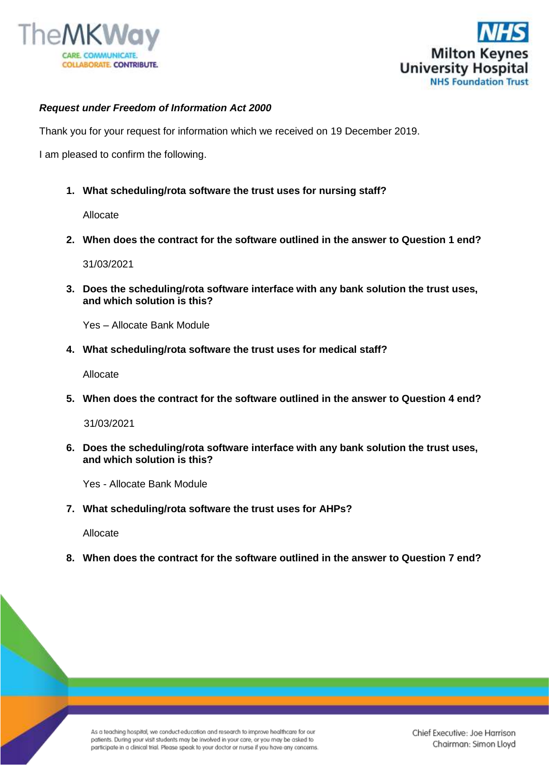



## *Request under Freedom of Information Act 2000*

Thank you for your request for information which we received on 19 December 2019.

I am pleased to confirm the following.

**1. What scheduling/rota software the trust uses for nursing staff?**

Allocate

**2. When does the contract for the software outlined in the answer to Question 1 end?**

31/03/2021

**3. Does the scheduling/rota software interface with any bank solution the trust uses, and which solution is this?**

Yes – Allocate Bank Module

**4. What scheduling/rota software the trust uses for medical staff?**

Allocate

**5. When does the contract for the software outlined in the answer to Question 4 end?**

31/03/2021

**6. Does the scheduling/rota software interface with any bank solution the trust uses, and which solution is this?** 

Yes - Allocate Bank Module

**7. What scheduling/rota software the trust uses for AHPs?**

Allocate

**8. When does the contract for the software outlined in the answer to Question 7 end?**

As a teaching hospital, we conduct education and research to improve healthcare for our patients. During your visit students may be involved in your care, or you may be asked to participate in a clinical trial. Please speak to your doctor or nurse if you have any concerns. Chief Executive: Joe Harrison Chairman: Simon Lloyd